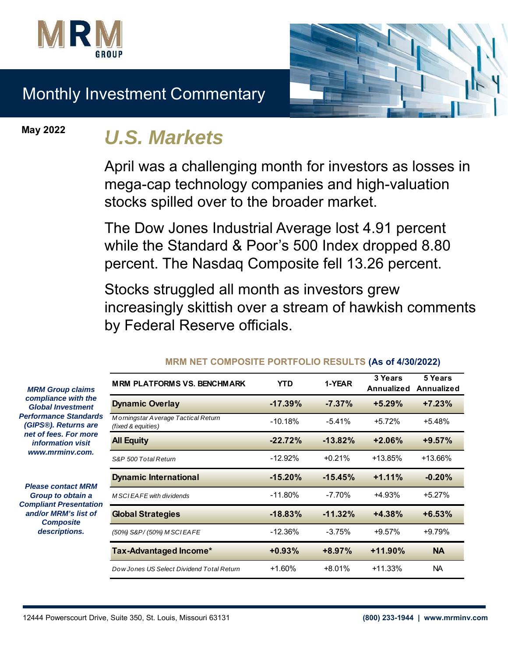



# Monthly Investment Commentary

**May 2022**

# *U.S. Markets*

April was a challenging month for investors as losses in mega-cap technology companies and high-valuation stocks spilled over to the broader market.

The Dow Jones Industrial Average lost 4.91 percent while the Standard & Poor's 500 Index dropped 8.80 percent. The Nasdaq Composite fell 13.26 percent.

Stocks struggled all month as investors grew increasingly skittish over a stream of hawkish comments by Federal Reserve officials.

|    | <b>MRM PLATFORMS VS. BENCHMARK</b>                        | YTD        | 1-YEAR     | 3 Years<br><b>Annualized</b> | 5 Years<br>Annualized |
|----|-----------------------------------------------------------|------------|------------|------------------------------|-----------------------|
|    | <b>Dynamic Overlay</b>                                    | $-17.39\%$ | $-7.37\%$  | $+5.29%$                     | $+7.23%$              |
| ls | Morningstar Average Tactical Return<br>(fixed & equities) | $-10.18%$  | $-5.41%$   | $+5.72%$                     | $+5.48%$              |
|    | <b>All Equity</b>                                         | $-22.72%$  | $-13.82\%$ | $+2.06%$                     | $+9.57%$              |
|    | S&P 500 Total Return                                      | $-12.92%$  | $+0.21%$   | $+13.85%$                    | +13.66%               |
|    | <b>Dynamic International</b>                              | $-15.20%$  | $-15.45%$  | $+1.11%$                     | $-0.20%$              |
| m  | M SCIEAFE with dividends                                  | $-11.80\%$ | $-7.70%$   | $+4.93%$                     | $+5.27%$              |
|    | <b>Global Strategies</b>                                  | $-18.83%$  | $-11.32\%$ | $+4.38%$                     | $+6.53%$              |
|    | (50%) S&P/(50%) M SCIEAFE                                 | $-12.36%$  | $-3.75%$   | $+9.57%$                     | $+9.79%$              |
|    | Tax-Advantaged Income*                                    | $+0.93%$   | $+8.97%$   | $+11.90%$                    | <b>NA</b>             |
|    | Dow Jones US Select Dividend Total Return                 | $+1.60%$   | $+8.01%$   | $+11.33%$                    | NA.                   |

#### **MRM NET COMPOSITE PORTFOLIO RESULTS (As of 4/30/2022)**

*MRM Group claims compliance with the Global Investment*  **Performance Standard** *(GIPS®). Returns are net of fees. For more information visit www.mrminv.com.*

*Please contact MRM Group to obtain a*  **Compliant Presentation** *and/or MRM's list of Composite descriptions.*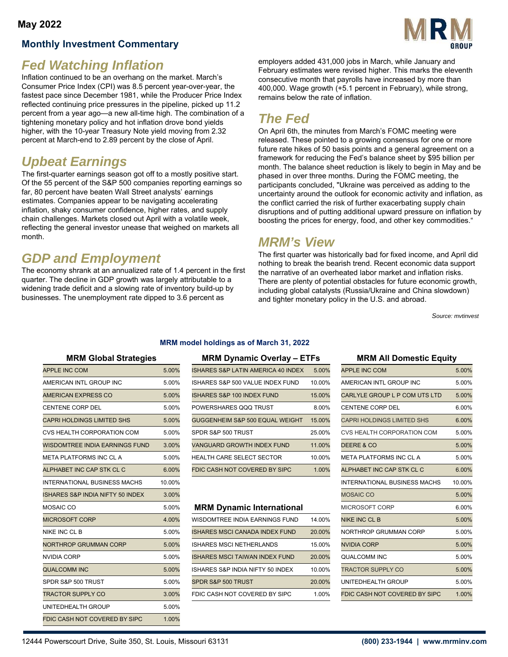## **Monthly Investment Commentary**



# *Fed Watching Inflation*

Inflation continued to be an overhang on the market. March's Consumer Price Index (CPI) was 8.5 percent year-over-year, the fastest pace since December 1981, while the Producer Price Index reflected continuing price pressures in the pipeline, picked up 11.2 percent from a year ago—a new all-time high. The combination of a tightening monetary policy and hot inflation drove bond yields higher, with the 10-year Treasury Note yield moving from 2.32 percent at March-end to 2.89 percent by the close of April.

# *Upbeat Earnings*

The first-quarter earnings season got off to a mostly positive start. Of the 55 percent of the S&P 500 companies reporting earnings so far, 80 percent have beaten Wall Street analysts' earnings estimates. Companies appear to be navigating accelerating inflation, shaky consumer confidence, higher rates, and supply chain challenges. Markets closed out April with a volatile week, reflecting the general investor unease that weighed on markets all month.

# *GDP and Employment*

The economy shrank at an annualized rate of 1.4 percent in the first quarter. The decline in GDP growth was largely attributable to a widening trade deficit and a slowing rate of inventory build-up by businesses. The unemployment rate dipped to 3.6 percent as

employers added 431,000 jobs in March, while January and February estimates were revised higher. This marks the eleventh consecutive month that payrolls have increased by more than 400,000. Wage growth (+5.1 percent in February), while strong, remains below the rate of inflation.

# *The Fed*

On April 6th, the minutes from March's FOMC meeting were released. These pointed to a growing consensus for one or more future rate hikes of 50 basis points and a general agreement on a framework for reducing the Fed's balance sheet by \$95 billion per month. The balance sheet reduction is likely to begin in May and be phased in over three months. During the FOMC meeting, the participants concluded, "Ukraine was perceived as adding to the uncertainty around the outlook for economic activity and inflation, as the conflict carried the risk of further exacerbating supply chain disruptions and of putting additional upward pressure on inflation by boosting the prices for energy, food, and other key commodities."

## *MRM's View*

The first quarter was historically bad for fixed income, and April did nothing to break the bearish trend. Recent economic data support the narrative of an overheated labor market and inflation risks. There are plenty of potential obstacles for future economic growth, including global catalysts (Russia/Ukraine and China slowdown) and tighter monetary policy in the U.S. and abroad.

*Source: mvtinvest*

|  | <b>MRM Global Strategies</b> |
|--|------------------------------|

| <b>APPLE INC COM</b>                  | 5.00%  | ISHARES S&P LATIN AMERICA 40 INDEX    | 5.00%  | <b>APPLE INC COM</b>                | 5.00%  |
|---------------------------------------|--------|---------------------------------------|--------|-------------------------------------|--------|
| AMERICAN INTL GROUP INC               | 5.00%  | ISHARES S&P 500 VALUE INDEX FUND      | 10.00% | AMERICAN INTL GROUP INC             | 5.00%  |
| <b>AMERICAN EXPRESS CO</b>            | 5.00%  | <b>ISHARES S&amp;P 100 INDEX FUND</b> | 15.00% | CARLYLE GROUP L P COM UTS LTD       | 5.00%  |
| <b>CENTENE CORP DEL</b>               | 5.00%  | POWERSHARES QQQ TRUST                 | 8.00%  | <b>CENTENE CORP DEL</b>             | 6.00%  |
| <b>CAPRI HOLDINGS LIMITED SHS</b>     | 5.00%  | GUGGENHEIM S&P 500 EQUAL WEIGHT       | 15.00% | <b>CAPRI HOLDINGS LIMITED SHS</b>   | 6.00%  |
| CVS HEALTH CORPORATION COM            | 5.00%  | SPDR S&P 500 TRUST                    | 25.00% | <b>CVS HEALTH CORPORATION COM</b>   | 5.00%  |
| <b>WISDOMTREE INDIA EARNINGS FUND</b> | 3.00%  | <b>VANGUARD GROWTH INDEX FUND</b>     | 11.00% | DEERE & CO                          | 5.00%  |
| META PLATFORMS INC CL A               | 5.00%  | HEALTH CARE SELECT SECTOR             | 10.00% | META PLATFORMS INC CL A             | 5.00%  |
| ALPHABET INC CAP STK CL C             | 6.00%  | FDIC CASH NOT COVERED BY SIPC         | 1.00%  | ALPHABET INC CAP STK CL C           | 6.00%  |
| <b>INTERNATIONAL BUSINESS MACHS</b>   | 10.00% |                                       |        | <b>INTERNATIONAL BUSINESS MACHS</b> | 10.00% |
| ISHARES S&P INDIA NIFTY 50 INDEX      | 3.00%  |                                       |        | <b>MOSAIC CO</b>                    | 5.00%  |
| MOSAIC CO                             | 5.00%  | <b>MRM Dynamic International</b>      |        | MICROSOFT CORP                      | 6.00%  |
| <b>MICROSOFT CORP</b>                 | 4.00%  | WISDOMTREE INDIA EARNINGS FUND        | 14.00% | <b>NIKE INC CL B</b>                | 5.00%  |
| NIKE INC CL B                         | 5.00%  | <b>ISHARES MSCI CANADA INDEX FUND</b> | 20.00% | NORTHROP GRUMMAN CORP               | 5.00%  |
| <b>NORTHROP GRUMMAN CORP</b>          | 5.00%  | <b>ISHARES MSCI NETHERLANDS</b>       | 15.00% | <b>NVIDIA CORP</b>                  | 5.00%  |
| <b>NVIDIA CORP</b>                    | 5.00%  | <b>ISHARES MSCI TAIWAN INDEX FUND</b> | 20.00% | <b>QUALCOMM INC</b>                 | 5.00%  |
| <b>QUALCOMM INC</b>                   | 5.00%  | ISHARES S&P INDIA NIFTY 50 INDEX      | 10.00% | <b>TRACTOR SUPPLY CO</b>            | 5.00%  |
| SPDR S&P 500 TRUST                    | 5.00%  | SPDR S&P 500 TRUST                    | 20.00% | UNITEDHEALTH GROUP                  | 5.00%  |
| <b>TRACTOR SUPPLY CO</b>              | 3.00%  | FDIC CASH NOT COVERED BY SIPC         | 1.00%  | FDIC CASH NOT COVERED BY SIPC       | 1.00%  |
| UNITEDHEALTH GROUP                    | 5.00%  |                                       |        |                                     |        |
| FDIC CASH NOT COVERED BY SIPC         | 1.00%  |                                       |        |                                     |        |

#### **MRM Global Strategies MRM Dynamic Overlay – ETFs MRM All Domestic Equity**

**MRM model holdings as of March 31, 2022**

| APPLE INC COM                     | 5.00% | ISHARES S&P LATIN AMERICA 40 INDEX | 5.00%  | <b>APPLE INC COM</b>          | 5.00% |
|-----------------------------------|-------|------------------------------------|--------|-------------------------------|-------|
| AMERICAN INTL GROUP INC           | 5.00% | ISHARES S&P 500 VALUE INDEX FUND   | 10.00% | AMERICAN INTL GROUP INC       | 5.00% |
| AMERICAN EXPRESS CO               | 5.00% | ISHARES S&P 100 INDEX FUND         | 15.00% | CARLYLE GROUP L P COM UTS LTD | 5.00% |
| CENTENE CORP DEL                  | 5.00% | POWERSHARES QQQ TRUST              | 8.00%  | <b>CENTENE CORP DEL</b>       | 6.00% |
| <b>CAPRI HOLDINGS LIMITED SHS</b> | 5.00% | GUGGENHEIM S&P 500 EQUAL WEIGHT    | 15.00% | CAPRI HOLDINGS LIMITED SHS    | 6.00% |
| CVS HEALTH CORPORATION COM        | 5.00% | SPDR S&P 500 TRUST                 | 25.00% | CVS HEALTH CORPORATION COM    | 5.00% |
| WISDOMTREE INDIA EARNINGS FUND    | 3.00% | VANGUARD GROWTH INDEX FUND         | 11.00% | DEERE & CO                    | 5.00% |
| META PLATFORMS INC CL A           | 5.00% | <b>HEALTH CARE SELECT SECTOR</b>   | 10.00% | META PLATFORMS INC CL A       | 5.00% |
| ALPHABET INC CAP STK CL C         | 6.00% | FDIC CASH NOT COVERED BY SIPC      | 1.00%  | ALPHABET INC CAP STK CL C     | 6.00% |
|                                   |       |                                    |        |                               |       |

#### **MRM Dynamic International**

| MICROSOFT CORP        | 4.00% | WISDOMTREE INDIA EARNINGS FUND        | 14.00% | NIKE INC CL B                 | 5.00% |
|-----------------------|-------|---------------------------------------|--------|-------------------------------|-------|
| NIKE INC CL B         | 5.00% | <b>ISHARES MSCI CANADA INDEX FUND</b> | 20.00% | NORTHROP GRUMMAN CORP         | 5.00% |
| NORTHROP GRUMMAN CORP | 5.00% | <b>ISHARES MSCI NETHERLANDS</b>       | 15.00% | NVIDIA CORP                   | 5.00% |
| NVIDIA CORP           | 5.00% | <b>ISHARES MSCI TAIWAN INDEX FUND</b> | 20.00% | QUALCOMM INC                  | 5.00% |
| QUALCOMM INC          | 5.00% | ISHARES S&P INDIA NIFTY 50 INDEX      | 10.00% | <b>TRACTOR SUPPLY CO</b>      | 5.00% |
| SPDR S&P 500 TRUST    | 5.00% | SPDR S&P 500 TRUST                    | 20.00% | UNITEDHEALTH GROUP            | 5.00% |
| TRACTOR SUPPLY CO     | 3.00% | FDIC CASH NOT COVERED BY SIPC         | 1.00%  | FDIC CASH NOT COVERED BY SIPC | 1.00% |

| <b>APPLE INC COM</b>              | 5.00%  |
|-----------------------------------|--------|
| AMERICAN INTL GROUP INC           | 5.00%  |
| CARLYLE GROUP L P COM UTS LTD     | 5.00%  |
| CENTENE CORP DEL                  | 6.00%  |
| <b>CAPRI HOLDINGS LIMITED SHS</b> | 6.00%  |
| CVS HEALTH CORPORATION COM        | 5.00%  |
| DEERE & CO                        | 5.00%  |
| META PLATFORMS INC CL A           | 5.00%  |
| ALPHABET INC CAP STK CL C         | 6.00%  |
| INTERNATIONAL BUSINESS MACHS      | 10.00% |
| <b>MOSAIC CO</b>                  | 5.00%  |
| MICROSOFT CORP                    | 6.00%  |
| <b>NIKE INC CL B</b>              | 5.00%  |
| NORTHROP GRUMMAN CORP             | 5.00%  |
| NVIDIA CORP                       | 5.00%  |
| QUALCOMM INC                      | 5.00%  |
| TRACTOR SUPPLY CO                 | 5.00%  |
| UNITEDHEALTH GROUP                | 5.00%  |
| FDIC CASH NOT COVERED BY SIPC     | 1.00%  |